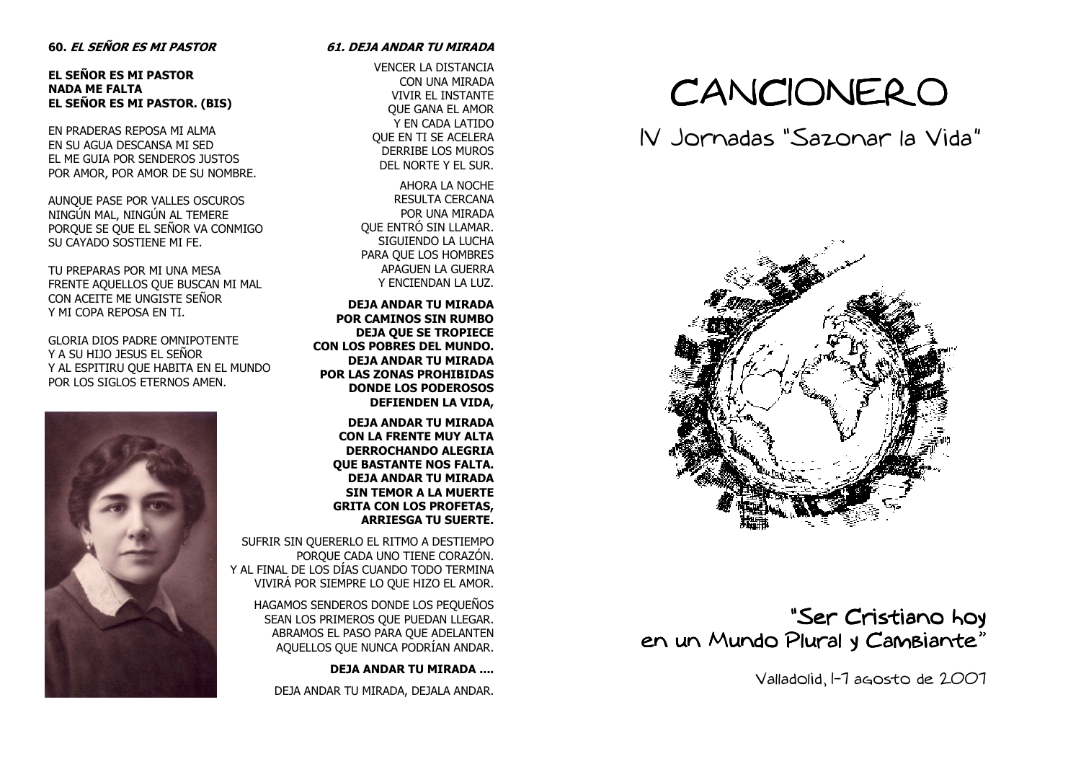### 60. EL SEÑOR ES MI PASTOR

EL SEÑOR ES MI PASTOR NADA ME FALTA EL SEÑOR ES MI PASTOR. (BIS)

EN PRADERAS REPOSA MI ALMA EN SU AGUA DESCANSA MI SED EL ME GUIA POR SENDEROS JUSTOS POR AMOR, POR AMOR DE SU NOMBRE.

AUNQUE PASE POR VALLES OSCUROS NINGÚN MAL, NINGÚN AL TEMERE PORQUE SE QUE EL SEÑOR VA CONMIGO SU CAYADO SOSTIENE MI FE.

TU PREPARAS POR MI UNA MESA FRENTE AQUELLOS QUE BUSCAN MI MAL CON ACEITE ME UNGISTE SEÑOR Y MI COPA REPOSA EN TI.

GLORIA DIOS PADRE OMNIPOTENTE Y A SU HIJO JESUS EL SEÑOR Y AL ESPITIRU QUE HABITA EN EL MUNDO POR LOS SIGLOS ETERNOS AMEN.



### 61. DEJA ANDAR TU MIRADA

VENCER LA DISTANCIA CON UNA MIRADA VIVIR EL INSTANTE QUE GANA EL AMOR Y EN CADA LATIDO QUE EN TI SE ACELERA DERRIBE LOS MUROS DEL NORTE Y EL SUR.

AHORA LA NOCHE RESULTA CERCANA POR UNA MIRADA QUE ENTRÓ SIN LLAMAR. SIGUIENDO LA LUCHA PARA QUE LOS HOMBRES APAGUEN LA GUERRA Y ENCIENDAN LA LUZ.

DEJA ANDAR TU MIRADA POR CAMINOS SIN RUMBO DEJA QUE SE TROPIECE CON LOS POBRES DEL MUNDO. DEJA ANDAR TU MIRADA POR LAS ZONAS PROHIBIDAS DONDE LOS PODEROSOS DEFIENDEN LA VIDA,

DEJA ANDAR TU MIRADA CON LA FRENTE MUY ALTA DERROCHANDO ALEGRIA QUE BASTANTE NOS FALTA. DEJA ANDAR TU MIRADA SIN TEMOR A LA MUERTE GRITA CON LOS PROFETAS, ARRIESGA TU SUERTE.

SUFRIR SIN QUERERLO EL RITMO A DESTIEMPO PORQUE CADA UNO TIENE CORAZÓN. Y AL FINAL DE LOS DÍAS CUANDO TODO TERMINA VIVIRÁ POR SIEMPRE LO QUE HIZO EL AMOR.

> HAGAMOS SENDEROS DONDE LOS PEQUEÑOS SEAN LOS PRIMEROS QUE PUEDAN LLEGAR. ABRAMOS EL PASO PARA QUE ADELANTEN AQUELLOS QUE NUNCA PODRÍAN ANDAR.

> > DEJA ANDAR TU MIRADA ....

DEJA ANDAR TU MIRADA, DEJALA ANDAR.

# CANCIONERO

## IV Jornadas "Sazonar la Vida"



### "Ser Cristiano hoy en un Mundo Plural y Cambiante"

Valladolid, 1-7 agosto de 2007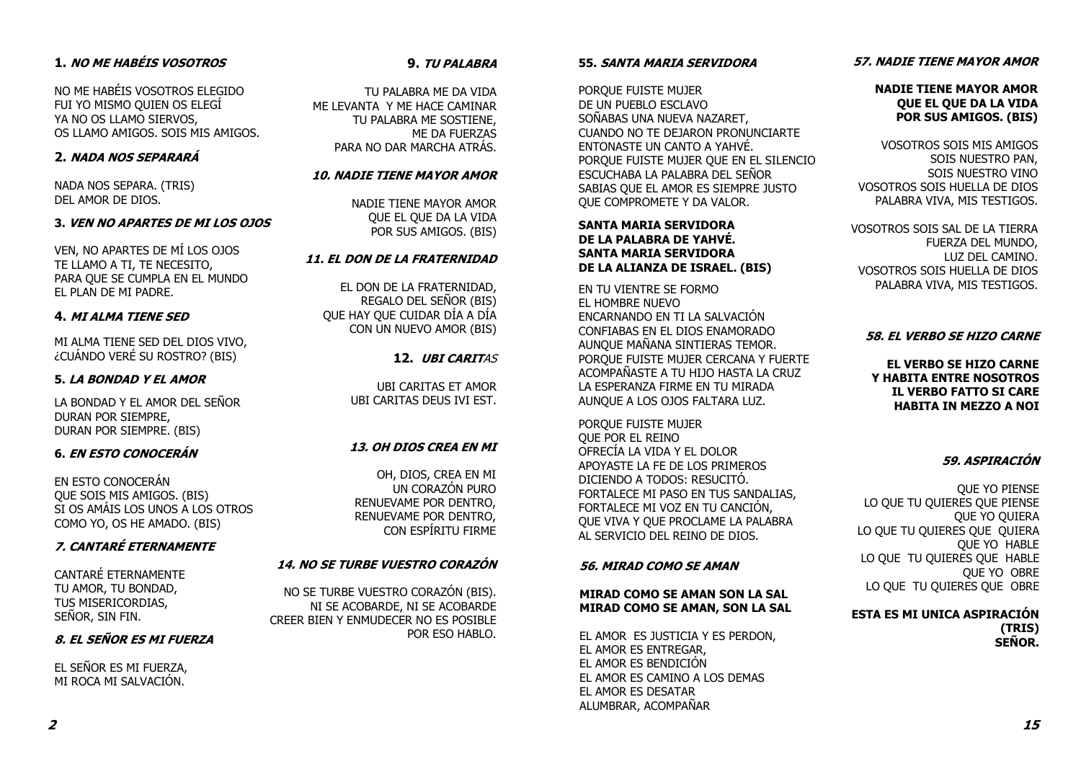### 1. NO ME HABÉIS VOSOTROS

NO ME HABÉIS VOSOTROS ELEGIDO FUI YO MISMO QUIEN OS ELEGÍ YA NO OS LLAMO SIERVOS, OS LLAMO AMIGOS. SOIS MIS AMIGOS.

### 2. NADA NOS SEPARARÁ

NADA NOS SEPARA. (TRIS) DEL AMOR DE DIOS.

### 3. VEN NO APARTES DE MI LOS OJOS

VEN, NO APARTES DE MÍ LOS OJOS TE LLAMO A TI, TE NECESITO, PARA QUE SE CUMPLA EN EL MUNDO EL PLAN DE MI PADRE.

### 4. MI ALMA TIENE SED

MI ALMA TIENE SED DEL DIOS VIVO, ¿CUÁNDO VERÉ SU ROSTRO? (BIS)

### 5. LA BONDAD Y EL AMOR

LA BONDAD Y EL AMOR DEL SEÑOR DURAN POR SIEMPRE, DURAN POR SIEMPRE. (BIS)

### 6. EN ESTO CONOCERÁN

EN ESTO CONOCERÁN QUE SOIS MIS AMIGOS. (BIS) SI OS AMÁIS LOS UNOS A LOS OTROS COMO YO, OS HE AMADO. (BIS)

### 7. CANTARÉ ETERNAMENTE

CANTARÉ ETERNAMENTE TU AMOR, TU BONDAD, TUS MISERICORDIAS, SEÑOR, SIN FIN.

### 8. EL SEÑOR ES MI FUERZA

EL SEÑOR ES MI FUERZA, MI ROCA MI SALVACIÓN.

### 9. TU PALABRA

TU PALABRA ME DA VIDA ME LEVANTA Y ME HACE CAMINAR TU PALABRA ME SOSTIENE, ME DA FUERZAS PARA NO DAR MARCHA ATRÁS.

### 10. NADIE TIENE MAYOR AMOR

NADIE TIENE MAYOR AMOR QUE EL QUE DA LA VIDA POR SUS AMIGOS. (BIS)

### 11. EL DON DE LA FRATERNIDAD

EL DON DE LA FRATERNIDAD, REGALO DEL SEÑOR (BIS) QUE HAY QUE CUIDAR DÍA A DÍA CON UN NUEVO AMOR (BIS)

### 12. UBI CARITAS

UBI CARITAS ET AMOR UBI CARITAS DEUS IVI EST.

### 13. OH DIOS CREA EN MI

OH, DIOS, CREA EN MI UN CORAZÓN PURO RENUEVAME POR DENTRO, RENUEVAME POR DENTRO, CON ESPÍRITU FIRME

### 14. NO SE TURBE VUESTRO CORAZÓN

NO SE TURBE VUESTRO CORAZÓN (BIS). NI SE ACOBARDE, NI SE ACOBARDE CREER BIEN Y ENMUDECER NO ES POSIBLE POR ESO HABLO.

#### 55. SANTA MARIA SERVIDORA

PORQUE FUISTE MUJER DE UN PUEBLO ESCLAVO SOÑABAS UNA NUEVA NAZARET, CUANDO NO TE DEJARON PRONUNCIARTE ENTONASTE UN CANTO A YAHVÉ. PORQUE FUISTE MUJER QUE EN EL SILENCIO ESCUCHABA LA PALABRA DEL SEÑOR SABIAS QUE EL AMOR ES SIEMPRE JUSTO QUE COMPROMETE Y DA VALOR.

### SANTA MARIA SERVIDORA DE LA PALABRA DE YAHVÉ. SANTA MARIA SERVIDORA DE LA ALIANZA DE ISRAEL. (BIS)

EN TU VIENTRE SE FORMO EL HOMBRE NUEVO ENCARNANDO EN TI LA SALVACIÓN CONFIABAS EN EL DIOS ENAMORADO AUNQUE MAÑANA SINTIERAS TEMOR. PORQUE FUISTE MUJER CERCANA Y FUERTE ACOMPAÑASTE A TU HIJO HASTA LA CRUZ LA ESPERANZA FIRME EN TU MIRADA AUNQUE A LOS OJOS FALTARA LUZ.

PORQUE FUISTE MUJER QUE POR EL REINO OFRECÍA LA VIDA Y EL DOLOR APOYASTE LA FE DE LOS PRIMEROS DICIENDO A TODOS: RESUCITÓ. FORTALECE MI PASO EN TUS SANDALIAS, FORTALECE MI VOZ EN TU CANCIÓN, QUE VIVA Y QUE PROCLAME LA PALABRA AL SERVICIO DEL REINO DE DIOS.

### 56. MIRAD COMO SE AMAN

### MIRAD COMO SE AMAN SON LA SAL MIRAD COMO SE AMAN, SON LA SAL

EL AMOR ES JUSTICIA Y ES PERDON, EL AMOR ES ENTREGAR, EL AMOR ES BENDICIÓN EL AMOR ES CAMINO A LOS DEMAS EL AMOR ES DESATAR ALUMBRAR, ACOMPAÑAR

### 57. NADIE TIENE MAYOR AMOR

### NADIE TIENE MAYOR AMOR QUE EL QUE DA LA VIDA POR SUS AMIGOS. (BIS)

VOSOTROS SOIS MIS AMIGOS SOIS NUESTRO PAN, SOIS NUESTRO VINO VOSOTROS SOIS HUELLA DE DIOS PALABRA VIVA, MIS TESTIGOS.

VOSOTROS SOIS SAL DE LA TIERRA FUERZA DEL MUNDO, LUZ DEL CAMINO. VOSOTROS SOIS HUELLA DE DIOS PALABRA VIVA, MIS TESTIGOS.

### 58. EL VERBO SE HIZO CARNE

EL VERBO SE HIZO CARNE Y HABITA ENTRE NOSOTROS IL VERBO FATTO SI CARE HABITA IN MEZZO A NOI

### 59. ASPIRACIÓN

QUE YO PIENSE LO QUE TU QUIERES QUE PIENSE QUE YO QUIERA LO QUE TU QUIERES QUE QUIERA QUE YO HABLE LO QUE TU QUIERES QUE HABLE QUE YO OBRE LO QUE TU QUIERES QUE OBRE

### ESTA ES MI UNICA ASPIRACIÓN (TRIS) SEÑOR.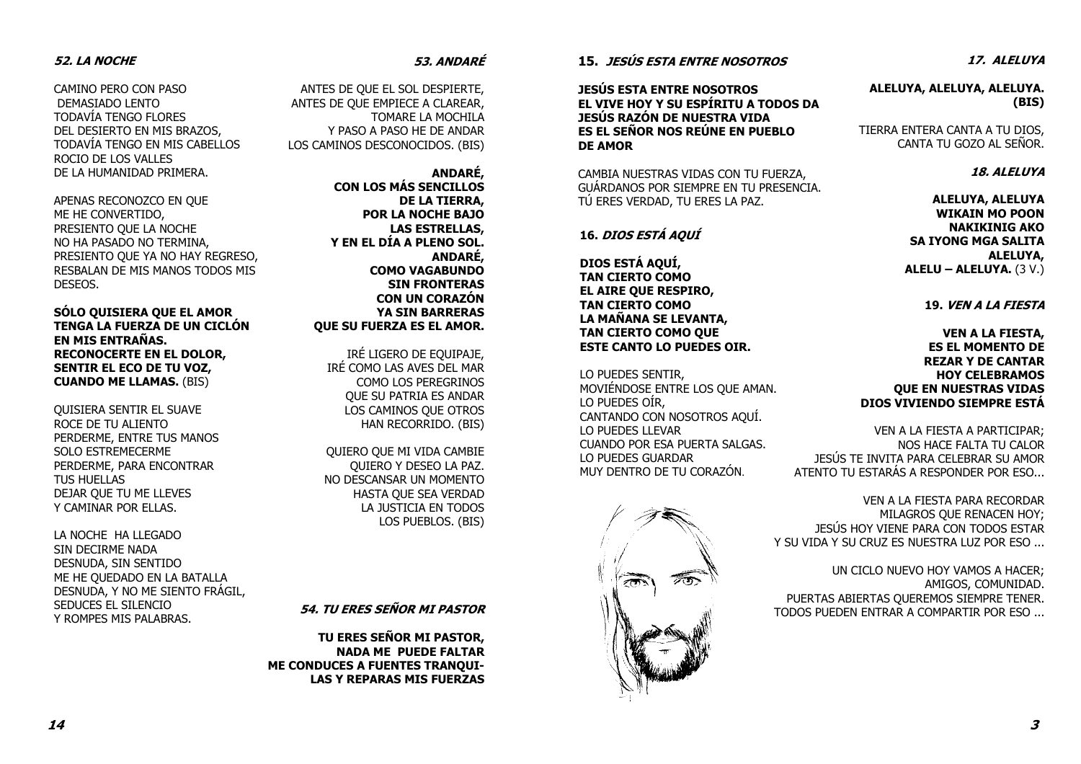### 52. LA NOCHE

CAMINO PERO CON PASO DEMASIADO LENTO TODAVÍA TENGO FLORES DEL DESIERTO EN MIS BRAZOS, TODAVÍA TENGO EN MIS CABELLOS ROCIO DE LOS VALLES DE LA HUMANIDAD PRIMERA.

APENAS RECONOZCO EN QUE ME HE CONVERTIDO, PRESIENTO QUE LA NOCHE NO HA PASADO NO TERMINA, PRESIENTO QUE YA NO HAY REGRESO, RESBALAN DE MIS MANOS TODOS MIS DESEOS.

SÓLO QUISIERA QUE EL AMOR TENGA LA FUERZA DE UN CICLÓN EN MIS ENTRAÑAS. RECONOCERTE EN EL DOLOR, SENTIR EL ECO DE TU VOZ, CUANDO ME LLAMAS. (BIS)

QUISIERA SENTIR EL SUAVE ROCE DE TU ALIENTO PERDERME, ENTRE TUS MANOS SOLO ESTREMECERME PERDERME, PARA ENCONTRAR TUS HUELLAS DEJAR QUE TU ME LLEVES Y CAMINAR POR ELLAS.

LA NOCHE HA LLEGADO SIN DECIRME NADA DESNUDA, SIN SENTIDO ME HE QUEDADO EN LA BATALLA DESNUDA, Y NO ME SIENTO FRÁGIL, SEDUCES EL SILENCIO Y ROMPES MIS PALABRAS.

### 53. ANDARÉ

ANTES DE QUE EL SOL DESPIERTE, ANTES DE QUE EMPIECE A CLAREAR, TOMARE LA MOCHILA Y PASO A PASO HE DE ANDAR LOS CAMINOS DESCONOCIDOS. (BIS)

> ANDARÉ, CON LOS MÁS SENCILLOS DE LA TIERRA, POR LA NOCHE BAJO LAS ESTRELLAS, Y EN EL DÍA A PLENO SOL. ANDARÉ, COMO VAGABUNDO SIN FRONTERAS CON UN CORAZÓN YA SIN BARRERASQUE SU FUERZA ES EL AMOR.

IRÉ LIGERO DE EQUIPAJE, IRÉ COMO LAS AVES DEL MAR COMO LOS PEREGRINOS QUE SU PATRIA ES ANDAR LOS CAMINOS QUE OTROS HAN RECORRIDO. (BIS)

QUIERO QUE MI VIDA CAMBIE QUIERO Y DESEO LA PAZ. NO DESCANSAR UN MOMENTO HASTA QUE SEA VERDAD LA JUSTICIA EN TODOS LOS PUEBLOS. (BIS)

### 54. TU ERES SEÑOR MI PASTOR

TU ERES SEÑOR MI PASTOR, NADA ME PUEDE FALTAR ME CONDUCES A FUENTES TRANQUI-LAS Y REPARAS MIS FUERZAS

15. JESÚS ESTA ENTRE NOSOTROS

JESÚS ESTA ENTRE NOSOTROS EL VIVE HOY Y SU ESPÍRITU A TODOS DA JESÚS RAZÓN DE NUESTRA VIDA ES EL SEÑOR NOS REÚNE EN PUEBLO DE AMOR

CAMBIA NUESTRAS VIDAS CON TU FUERZA, GUÁRDANOS POR SIEMPRE EN TU PRESENCIA. TÚ ERES VERDAD, TU ERES LA PAZ.

### 16. DIOS ESTÁ AQUÍ

DIOS ESTÁ AQUÍ, TAN CIERTO COMO EL AIRE QUE RESPIRO, TAN CIERTO COMO LA MAÑANA SE LEVANTA, TAN CIERTO COMO QUE ESTE CANTO LO PUEDES OIR.

LO PUEDES SENTIR, MOVIÉNDOSE ENTRE LOS QUE AMAN. LO PUEDES OÍR, CANTANDO CON NOSOTROS AQUÍ. LO PUEDES LLEVAR CUANDO POR ESA PUERTA SALGAS. LO PUEDES GUARDAR MUY DENTRO DE TU CORAZÓN.



17. ALELUYA

ALELUYA, ALELUYA, ALELUYA. (BIS)

TIERRA ENTERA CANTA A TU DIOS, CANTA TU GOZO AL SEÑOR.

### 18. ALELUYA

ALELUYA, ALELUYA WIKAIN MO POON NAKIKINIG AKO SA IYONG MGA SALITA ALELUYA,  $ALELU - ALELUYA. (3 V.)$ 

19. VEN A LA FIESTA

VEN A LA FIESTA, ES EL MOMENTO DE REZAR Y DE CANTAR HOY CELEBRAMOS QUE EN NUESTRAS VIDAS DIOS VIVIENDO SIEMPRE ESTÁ

VEN A LA FIESTA A PARTICIPAR; NOS HACE FALTA TU CALOR JESÚS TE INVITA PARA CELEBRAR SU AMOR ATENTO TU ESTARÁS A RESPONDER POR ESO...

VEN A LA FIESTA PARA RECORDAR MILAGROS QUE RENACEN HOY; JESÚS HOY VIENE PARA CON TODOS ESTAR Y SU VIDA Y SU CRUZ ES NUESTRA LUZ POR ESO ...

UN CICLO NUEVO HOY VAMOS A HACER; AMIGOS, COMUNIDAD. PUERTAS ABIERTAS QUEREMOS SIEMPRE TENER. TODOS PUEDEN ENTRAR A COMPARTIR POR ESO ...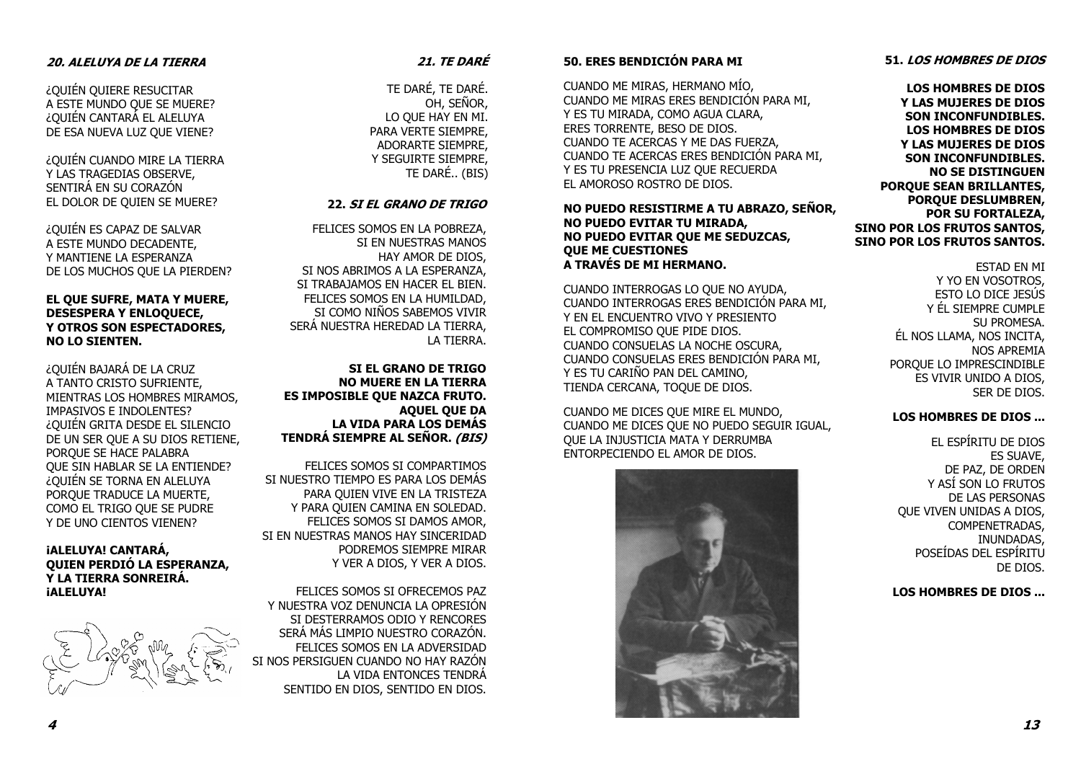### 20. ALELUYA DE LA TIERRA

¿QUIÉN QUIERE RESUCITAR A ESTE MUNDO QUE SE MUERE? ¿QUIÉN CANTARÁ EL ALELUYA DE ESA NUEVA LUZ QUE VIENE?

¿QUIÉN CUANDO MIRE LA TIERRA Y LAS TRAGEDIAS OBSERVE, SENTIRÁ EN SU CORAZÓN EL DOLOR DE QUIEN SE MUERE?

¿QUIÉN ES CAPAZ DE SALVAR A ESTE MUNDO DECADENTE, Y MANTIENE LA ESPERANZA DE LOS MUCHOS QUE LA PIERDEN?

### EL QUE SUFRE, MATA Y MUERE, DESESPERA Y ENLOQUECE, Y OTROS SON ESPECTADORES, NO LO SIENTEN.

¿QUIÉN BAJARÁ DE LA CRUZ A TANTO CRISTO SUFRIENTE, MIENTRAS LOS HOMBRES MIRAMOS, IMPASIVOS E INDOLENTES? ¿QUIÉN GRITA DESDE EL SILENCIO DE UN SER QUE A SU DIOS RETIENE, PORQUE SE HACE PALABRA QUE SIN HABLAR SE LA ENTIENDE? ¿QUIÉN SE TORNA EN ALELUYA PORQUE TRADUCE LA MUERTE, COMO EL TRIGO QUE SE PUDRE Y DE UNO CIENTOS VIENEN?

### ¡ALELUYA! CANTARÁ, QUIEN PERDIÓ LA ESPERANZA, Y LA TIERRA SONREIRÁ. *iALELUYA!*

### 21. TE DARÉ

TE DARÉ, TE DARÉ. OH, SEÑOR, LO QUE HAY EN MI. PARA VERTE SIEMPRE, ADORARTE SIEMPRE, Y SEGUIRTE SIEMPRE, TE DARÉ.. (BIS)

### 22. SI EL GRANO DE TRIGO

FELICES SOMOS EN LA POBREZA, SI EN NUESTRAS MANOS HAY AMOR DE DIOS, SI NOS ABRIMOS A LA ESPERANZA, SI TRABAJAMOS EN HACER EL BIEN. FELICES SOMOS EN LA HUMILDAD, SI COMO NIÑOS SABEMOS VIVIR SERÁ NUESTRA HEREDAD LA TIERRA, LA TIERRA.

SI EL GRANO DE TRIGO NO MUERE EN LA TIERRA ES IMPOSIBLE QUE NAZCA FRUTO. AQUEL QUE DA LA VIDA PARA LOS DEMÁS TENDRÁ SIEMPRE AL SEÑOR. *(BIS)* 

FELICES SOMOS SI COMPARTIMOS SI NUESTRO TIEMPO ES PARA LOS DEMÁS PARA QUIEN VIVE EN LA TRISTEZA Y PARA QUIEN CAMINA EN SOLEDAD. FELICES SOMOS SI DAMOS AMOR, SI EN NUESTRAS MANOS HAY SINCERIDAD PODREMOS SIEMPRE MIRAR Y VER A DIOS, Y VER A DIOS.

FELICES SOMOS SI OFRECEMOS PAZ Y NUESTRA VOZ DENUNCIA LA OPRESIÓN SI DESTERRAMOS ODIO Y RENCORES SERÁ MÁS LIMPIO NUESTRO CORAZÓN. FELICES SOMOS EN LA ADVERSIDAD SI NOS PERSIGUEN CUANDO NO HAY RAZÓN LA VIDA ENTONCES TENDRÁ SENTIDO EN DIOS, SENTIDO EN DIOS.

### 50. ERES BENDICIÓN PARA MI

CUANDO ME MIRAS, HERMANO MÍO, CUANDO ME MIRAS ERES BENDICIÓN PARA MI, Y ES TU MIRADA, COMO AGUA CLARA, ERES TORRENTE, BESO DE DIOS. CUANDO TE ACERCAS Y ME DAS FUERZA, CUANDO TE ACERCAS ERES BENDICIÓN PARA MI, Y ES TU PRESENCIA LUZ QUE RECUERDA EL AMOROSO ROSTRO DE DIOS.

### NO PUEDO RESISTIRME A TU ABRAZO, SEÑOR, NO PUEDO EVITAR TU MIRADA, NO PUEDO EVITAR QUE ME SEDUZCAS, QUE ME CUESTIONES A TRAVÉS DE MI HERMANO.

CUANDO INTERROGAS LO QUE NO AYUDA, CUANDO INTERROGAS ERES BENDICIÓN PARA MI, Y EN EL ENCUENTRO VIVO Y PRESIENTO EL COMPROMISO QUE PIDE DIOS. CUANDO CONSUELAS LA NOCHE OSCURA, CUANDO CONSUELAS ERES BENDICIÓN PARA MI, Y ES TU CARIÑO PAN DEL CAMINO, TIENDA CERCANA, TOQUE DE DIOS.

CUANDO ME DICES QUE MIRE EL MUNDO, CUANDO ME DICES QUE NO PUEDO SEGUIR IGUAL, QUE LA INJUSTICIA MATA Y DERRUMBA ENTORPECIENDO EL AMOR DE DIOS.



### Y YO EN VOSOTROS, ESTO LO DICE JESÚS Y ÉL SIEMPRE CUMPLE ÉL NOS LLAMA, NOS INCITA,

 PORQUE LO IMPRESCINDIBLE ES VIVIR UNIDO A DIOS, SER DE DIOS.

ESTAD EN MI

SU PROMESA.

NOS APREMIA

### LOS HOMBRES DE DIOS ...

EL ESPÍRITU DE DIOS ES SUAVE, DE PAZ, DE ORDEN Y ASÍ SON LO FRUTOS DE LAS PERSONAS QUE VIVEN UNIDAS A DIOS, COMPENETRADAS, INUNDADAS, POSEÍDAS DEL ESPÍRITU DE DIOS.

LOS HOMBRES DE DIOS ...

### 51. LOS HOMBRES DE DIOS

LOS HOMBRES DE DIOS Y LAS MUJERES DE DIOS SON INCONFUNDIBLES. LOS HOMBRES DE DIOS Y LAS MUJERES DE DIOS SON INCONFUNDIBLES. NO SE DISTINGUEN PORQUE SEAN BRILLANTES, PORQUE DESLUMBREN, POR SU FORTALEZA, SINO POR LOS FRUTOS SANTOS, SINO POR LOS FRUTOS SANTOS.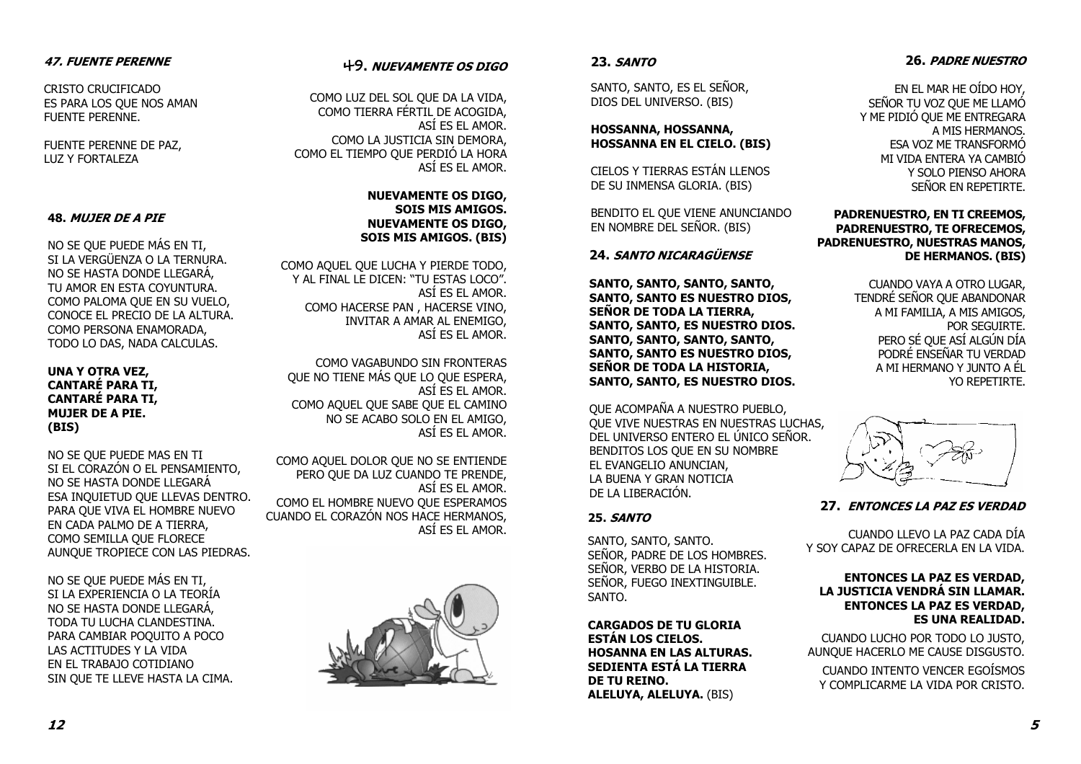### 47. FUENTE PERENNE

CRISTO CRUCIFICADO ES PARA LOS QUE NOS AMAN FUENTE PERENNE.

FUENTE PERENNE DE PAZ, LUZ Y FORTALEZA

### 48. MUJER DE A PIE

NO SE QUE PUEDE MÁS EN TI, SI LA VERGÜENZA O LA TERNURA. NO SE HASTA DONDE LLEGARÁ, TU AMOR EN ESTA COYUNTURA. COMO PALOMA QUE EN SU VUELO, CONOCE EL PRECIO DE LA ALTURA. COMO PERSONA ENAMORADA, TODO LO DAS, NADA CALCULAS.

### UNA Y OTRA VEZ, CANTARÉ PARA TI, CANTARÉ PARA TI, MUJER DE A PIE. (BIS)

NO SE QUE PUEDE MAS EN TI SI EL CORAZÓN O EL PENSAMIENTO, NO SE HASTA DONDE LLEGARÁ ESA INQUIETUD QUE LLEVAS DENTRO. PARA QUE VIVA EL HOMBRE NUEVO EN CADA PALMO DE A TIERRA, COMO SEMILLA QUE FLORECE AUNQUE TROPIECE CON LAS PIEDRAS.

NO SE QUE PUEDE MÁS EN TI, SI LA EXPERIENCIA O LA TEORÍA NO SE HASTA DONDE LLEGARÁ, TODA TU LUCHA CLANDESTINA. PARA CAMBIAR POQUITO A POCO LAS ACTITUDES Y LA VIDA EN EL TRABAJO COTIDIANO SIN QUE TE LLEVE HASTA LA CIMA.

### 49. NUEVAMENTE OS DIGO

COMO LUZ DEL SOL QUE DA LA VIDA, COMO TIERRA FÉRTIL DE ACOGIDA, ASÍ ES EL AMOR. COMO LA JUSTICIA SIN DEMORA, COMO EL TIEMPO QUE PERDIÓ LA HORA ASÍ ES EL AMOR.

### NUEVAMENTE OS DIGO, SOIS MIS AMIGOS. NUEVAMENTE OS DIGO,SOIS MIS AMIGOS. (BIS)

COMO AQUEL QUE LUCHA Y PIERDE TODO, Y AL FINAL LE DICEN: "TU ESTAS LOCO". ASÍ ES EL AMOR. COMO HACERSE PAN , HACERSE VINO, INVITAR A AMAR AL ENEMIGO, ASÍ ES EL AMOR.

COMO VAGABUNDO SIN FRONTERAS QUE NO TIENE MÁS QUE LO QUE ESPERA, ASÍ ES EL AMOR. COMO AQUEL QUE SABE QUE EL CAMINO NO SE ACABO SOLO EN EL AMIGO, ASÍ ES EL AMOR.

COMO AQUEL DOLOR QUE NO SE ENTIENDE PERO QUE DA LUZ CUANDO TE PRENDE, ASÍ ES EL AMOR. COMO EL HOMBRE NUEVO QUE ESPERAMOS CUANDO EL CORAZÓN NOS HACE HERMANOS, ASÍ ES EL AMOR.



### 23. SANTO

SANTO, SANTO, ES EL SEÑOR, DIOS DEL UNIVERSO. (BIS)

### HOSSANNA, HOSSANNA, HOSSANNA EN EL CIELO. (BIS)

CIELOS Y TIERRAS ESTÁN LLENOS DE SU INMENSA GLORIA. (BIS)

BENDITO EL QUE VIENE ANUNCIANDO EN NOMBRE DEL SEÑOR. (BIS)

### 24. SANTO NICARAGÜENSE

SANTO, SANTO, SANTO, SANTO, SANTO, SANTO ES NUESTRO DIOS, SEÑOR DE TODA LA TIERRA, SANTO, SANTO, ES NUESTRO DIOS. SANTO, SANTO, SANTO, SANTO, SANTO, SANTO ES NUESTRO DIOS, SEÑOR DE TODA LA HISTORIA, SANTO, SANTO, ES NUESTRO DIOS.

QUE ACOMPAÑA A NUESTRO PUEBLO, QUE VIVE NUESTRAS EN NUESTRAS LUCHAS, DEL UNIVERSO ENTERO EL ÚNICO SEÑOR. BENDITOS LOS QUE EN SU NOMBRE EL EVANGELIO ANUNCIAN, LA BUENA Y GRAN NOTICIA DE LA LIBERACIÓN.

### 25. *SANTO*

SANTO, SANTO, SANTO. SEÑOR, PADRE DE LOS HOMBRES. SEÑOR, VERBO DE LA HISTORIA. SEÑOR, FUEGO INEXTINGUIBLE. SANTO.

CARGADOS DE TU GLORIA ESTÁN LOS CIELOS. HOSANNA EN LAS ALTURAS. SEDIENTA ESTÁ LA TIERRA DE TU REINO. ALELUYA, ALELUYA. (BIS)

### 26. PADRE NUESTRO

EN EL MAR HE OÍDO HOY, SEÑOR TU VOZ QUE ME LLAMÓ Y ME PIDIÓ QUE ME ENTREGARA A MIS HERMANOS. ESA VOZ ME TRANSFORMÓ MI VIDA ENTERA YA CAMBIÓ Y SOLO PIENSO AHORA SEÑOR EN REPETIRTE.

### PADRENUESTRO, EN TI CREEMOS, PADRENUESTRO, TE OFRECEMOS, PADRENUESTRO, NUESTRAS MANOS, DE HERMANOS. (BIS)

CUANDO VAYA A OTRO LUGAR, TENDRÉ SEÑOR QUE ABANDONAR A MI FAMILIA, A MIS AMIGOS, POR SEGUIRTE. PERO SÉ QUE ASÍ ALGÚN DÍA PODRÉ ENSEÑAR TU VERDAD A MI HERMANO Y JUNTO A ÉL YO REPETIRTE.



### 27. ENTONCES LA PAZ ES VERDAD

CUANDO LLEVO LA PAZ CADA DÍA Y SOY CAPAZ DE OFRECERLA EN LA VIDA.

### ENTONCES LA PAZ ES VERDAD, LA JUSTICIA VENDRÁ SIN LLAMAR. ENTONCES LA PAZ ES VERDAD,ES UNA REALIDAD.

CUANDO LUCHO POR TODO LO JUSTO, AUNQUE HACERLO ME CAUSE DISGUSTO.

CUANDO INTENTO VENCER EGOÍSMOS Y COMPLICARME LA VIDA POR CRISTO.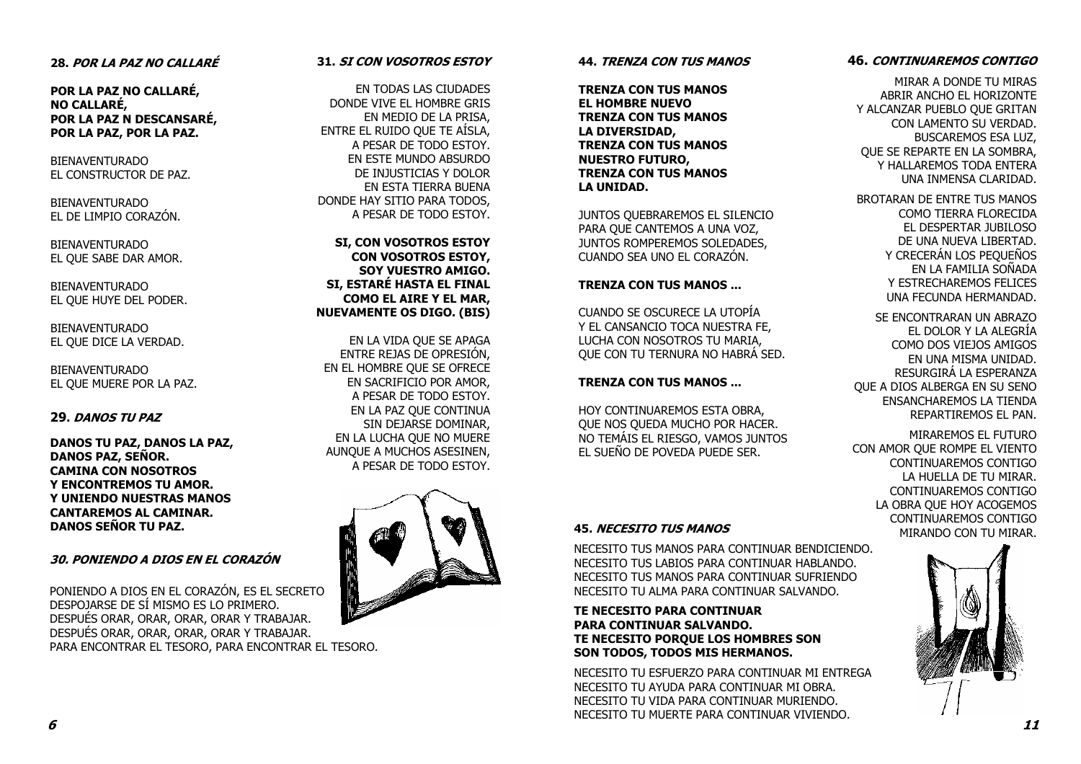### 28. POR LA PAZ NO CALLARÉ

POR LA PAZ NO CALLARÉ, NO CALLARÉ, POR LA PAZ N DESCANSARÉ, POR LA PAZ, POR LA PAZ.

BIENAVENTURADO EL CONSTRUCTOR DE PAZ.

BIENAVENTURADO EL DE LIMPIO CORAZÓN.

BIENAVENTURADO EL QUE SABE DAR AMOR.

BIENAVENTURADO EL QUE HUYE DEL PODER.

BIENAVENTURADO EL QUE DICE LA VERDAD.

BIENAVENTURADO EL QUE MUERE POR LA PAZ.

### 29. DANOS TU PAZ

DANOS TU PAZ, DANOS LA PAZ, DANOS PAZ, SEÑOR. CAMINA CON NOSOTROS Y ENCONTREMOS TU AMOR. Y UNIENDO NUESTRAS MANOS CANTAREMOS AL CAMINAR. DANOS SEÑOR TU PAZ.

### 30. PONIENDO A DIOS EN EL CORAZÓN

PONIENDO A DIOS EN EL CORAZÓN, ES EL SECRETO DESPOJARSE DE SÍ MISMO ES LO PRIMERO. DESPUÉS ORAR, ORAR, ORAR, ORAR Y TRABAJAR. DESPUÉS ORAR, ORAR, ORAR, ORAR Y TRABAJAR. PARA ENCONTRAR EL TESORO, PARA ENCONTRAR EL TESORO.

### 31. SI CON VOSOTROS ESTOY

EN TODAS LAS CIUDADES DONDE VIVE EL HOMBRE GRIS EN MEDIO DE LA PRISA, ENTRE EL RUIDO QUE TE AÍSLA, A PESAR DE TODO ESTOY. EN ESTE MUNDO ABSURDO DE INJUSTICIAS Y DOLOR EN ESTA TIERRA BUENA DONDE HAY SITIO PARA TODOS, A PESAR DE TODO ESTOY.

SI, CON VOSOTROS ESTOY CON VOSOTROS ESTOY, SOY VUESTRO AMIGO. SI, ESTARÉ HASTA EL FINAL COMO EL AIRE Y EL MAR, NUEVAMENTE OS DIGO. (BIS)

EN LA VIDA QUE SE APAGA ENTRE REJAS DE OPRESIÓN, EN EL HOMBRE QUE SE OFRECE EN SACRIFICIO POR AMOR, A PESAR DE TODO ESTOY. EN LA PAZ QUE CONTINUA SIN DEJARSE DOMINAR, EN LA LUCHA QUE NO MUERE AUNQUE A MUCHOS ASESINEN, A PESAR DE TODO ESTOY.



### 44. TRENZA CON TUS MANOS

TRENZA CON TUS MANOS EL HOMBRE NUEVO TRENZA CON TUS MANOS LA DIVERSIDAD, TRENZA CON TUS MANOS NUESTRO FUTURO, TRENZA CON TUS MANOS LA UNIDAD.

JUNTOS QUEBRAREMOS EL SILENCIO PARA QUE CANTEMOS A UNA VOZ, JUNTOS ROMPEREMOS SOLEDADES, CUANDO SEA UNO EL CORAZÓN.

### TRENZA CON TUS MANOS ...

CUANDO SE OSCURECE LA UTOPÍA Y EL CANSANCIO TOCA NUESTRA FE, LUCHA CON NOSOTROS TU MARIA, QUE CON TU TERNURA NO HABRÁ SED.

### TRENZA CON TUS MANOS ...

HOY CONTINUAREMOS ESTA OBRA, QUE NOS QUEDA MUCHO POR HACER. NO TEMÁIS EL RIESGO, VAMOS JUNTOS EL SUEÑO DE POVEDA PUEDE SER.

NECESITO TUS MANOS PARA CONTINUAR BENDICIENDO. NECESITO TUS LABIOS PARA CONTINUAR HABLANDO. NECESITO TUS MANOS PARA CONTINUAR SUFRIENDO NECESITO TU ALMA PARA CONTINUAR SALVANDO.

### TE NECESITO PARA CONTINUAR PARA CONTINUAR SALVANDO. TE NECESITO PORQUE LOS HOMBRES SON SON TODOS, TODOS MIS HERMANOS.

NECESITO TU ESFUERZO PARA CONTINUAR MI ENTREGA NECESITO TU AYUDA PARA CONTINUAR MI OBRA. NECESITO TU VIDA PARA CONTINUAR MURIENDO. NECESITO TU MUERTE PARA CONTINUAR VIVIENDO.

### 46. CONTINUAREMOS CONTIGO

MIRAR A DONDE TU MIRAS ABRIR ANCHO EL HORIZONTE Y ALCANZAR PUEBLO QUE GRITAN CON LAMENTO SU VERDAD. BUSCAREMOS ESA LUZ, QUE SE REPARTE EN LA SOMBRA, Y HALLAREMOS TODA ENTERA UNA INMENSA CLARIDAD.

BROTARAN DE ENTRE TUS MANOS COMO TIERRA FLORECIDA EL DESPERTAR JUBILOSO DE UNA NUEVA LIBERTAD. Y CRECERÁN LOS PEQUEÑOS EN LA FAMILIA SOÑADA Y ESTRECHAREMOS FELICES UNA FECUNDA HERMANDAD.

SE ENCONTRARAN UN ABRAZO EL DOLOR Y LA ALEGRÍA COMO DOS VIEJOS AMIGOS EN UNA MISMA UNIDAD. RESURGIRÁ LA ESPERANZA QUE A DIOS ALBERGA EN SU SENO ENSANCHAREMOS LA TIENDA REPARTIREMOS EL PAN.

MIRAREMOS EL FUTURO CON AMOR QUE ROMPE EL VIENTO CONTINUAREMOS CONTIGO LA HUELLA DE TU MIRAR. CONTINUAREMOS CONTIGO LA OBRA QUE HOY ACOGEMOS CONTINUAREMOS CONTIGO MIRANDO CON TU MIRAR. 45. NECESITO TUS MANOS

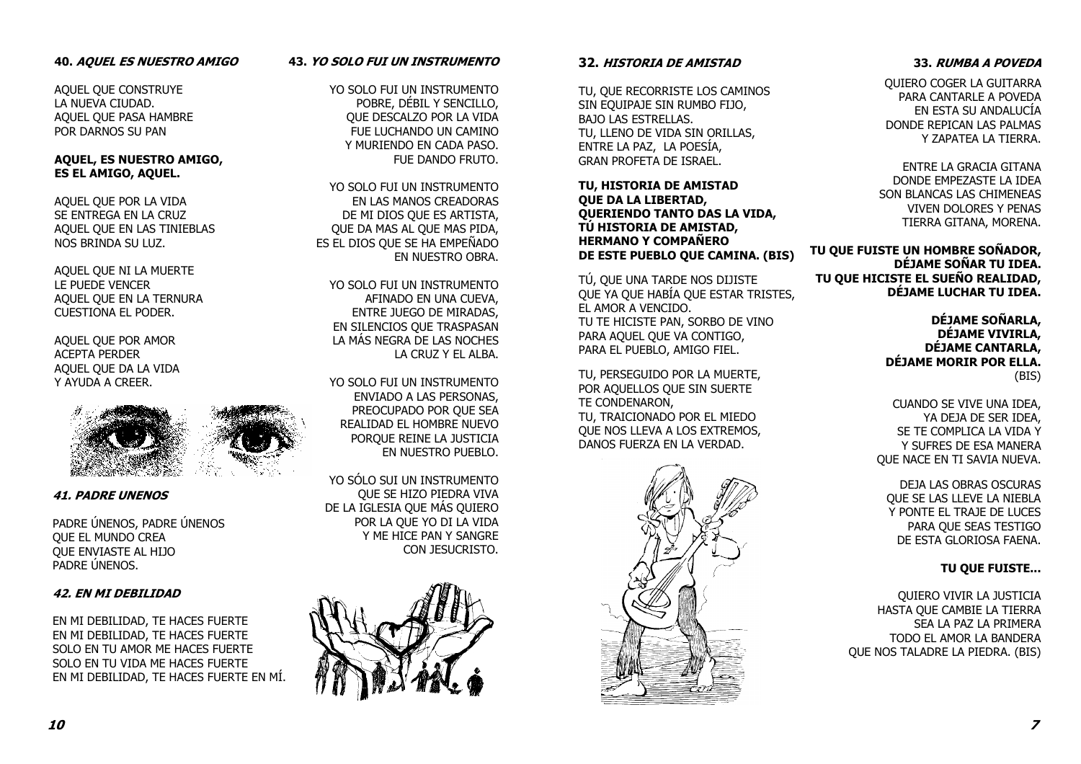### 40. AQUEL ES NUESTRO AMIGO

AQUEL QUE CONSTRUYE LA NUEVA CIUDAD. AQUEL QUE PASA HAMBRE POR DARNOS SU PAN

### AQUEL, ES NUESTRO AMIGO, ES EL AMIGO, AQUEL.

AQUEL QUE POR LA VIDA SE ENTREGA EN LA CRUZ AQUEL QUE EN LAS TINIEBLAS NOS BRINDA SU LUZ.

AQUEL QUE NI LA MUERTE LE PUEDE VENCER AQUEL QUE EN LA TERNURA CUESTIONA EL PODER.

AQUEL QUE POR AMOR ACEPTA PERDER AQUEL QUE DA LA VIDA Y AYUDA A CREER.



41. PADRE UNENOS

PADRE ÚNENOS, PADRE ÚNENOS QUE EL MUNDO CREA QUE ENVIASTE AL HIJO PADRE ÚNENOS.

### 42. EN MI DEBILIDAD

EN MI DEBILIDAD, TE HACES FUERTE EN MI DEBILIDAD, TE HACES FUERTE SOLO EN TU AMOR ME HACES FUERTE SOLO EN TU VIDA ME HACES FUERTE EN MI DEBILIDAD, TE HACES FUERTE EN MÍ.

### 43. YO SOLO FUI UN INSTRUMENTO

YO SOLO FUI UN INSTRUMENTO POBRE, DÉBIL Y SENCILLO, QUE DESCALZO POR LA VIDA FUE LUCHANDO UN CAMINO Y MURIENDO EN CADA PASO. FUE DANDO FRUTO.

YO SOLO FUI UN INSTRUMENTO EN LAS MANOS CREADORAS DE MI DIOS QUE ES ARTISTA, QUE DA MAS AL QUE MAS PIDA, ES EL DIOS QUE SE HA EMPEÑADO EN NUESTRO OBRA.

YO SOLO FUI UN INSTRUMENTO AFINADO EN UNA CUEVA, ENTRE JUEGO DE MIRADAS, EN SILENCIOS QUE TRASPASAN LA MÁS NEGRA DE LAS NOCHES LA CRUZ Y EL ALBA.

YO SOLO FUI UN INSTRUMENTO ENVIADO A LAS PERSONAS, PREOCUPADO POR QUE SEA REALIDAD EL HOMBRE NUEVO PORQUE REINE LA JUSTICIA EN NUESTRO PUEBLO.

YO SÓLO SUI UN INSTRUMENTO QUE SE HIZO PIEDRA VIVA DE LA IGLESIA QUE MÁS QUIERO POR LA QUE YO DI LA VIDA Y ME HICE PAN Y SANGRE CON JESUCRISTO.



### 32. HISTORIA DE AMISTAD

TU, QUE RECORRISTE LOS CAMINOS SIN EQUIPAJE SIN RUMBO FIJO, BAJO LAS ESTRELLAS. TU, LLENO DE VIDA SIN ORILLAS, ENTRE LA PAZ, LA POESÍA, GRAN PROFETA DE ISRAEL.

TU, HISTORIA DE AMISTAD QUE DA LA LIBERTAD, QUERIENDO TANTO DAS LA VIDA, TÚ HISTORIA DE AMISTAD, HERMANO Y COMPAÑERO DE ESTE PUEBLO QUE CAMINA. (BIS)

TÚ, QUE UNA TARDE NOS DIJISTE QUE YA QUE HABÍA QUE ESTAR TRISTES, EL AMOR A VENCIDO. TU TE HICISTE PAN, SORBO DE VINO PARA AQUEL QUE VA CONTIGO, PARA EL PUEBLO, AMIGO FIEL.

TU, PERSEGUIDO POR LA MUERTE, POR AQUELLOS QUE SIN SUERTE TE CONDENARON, TU, TRAICIONADO POR EL MIEDO QUE NOS LLEVA A LOS EXTREMOS, DANOS FUERZA EN LA VERDAD.



### 33. RUMBA A POVEDA

QUIERO COGER LA GUITARRA PARA CANTARLE A POVEDA EN ESTA SU ANDALUCÍA DONDE REPICAN LAS PALMAS Y ZAPATEA LA TIERRA.

ENTRE LA GRACIA GITANA DONDE EMPEZASTE LA IDEA SON BLANCAS LAS CHIMENEAS VIVEN DOLORES Y PENAS TIERRA GITANA, MORENA.

TU QUE FUISTE UN HOMBRE SOÑADOR, DÉJAME SOÑAR TU IDEA. TU QUE HICISTE EL SUEÑO REALIDAD, DÉJAME LUCHAR TU IDEA.

> DÉJAME SOÑARLA, DÉJAME VIVIRLA, DÉJAME CANTARLA, DÉJAME MORIR POR ELLA.(BIS)

CUANDO SE VIVE UNA IDEA, YA DEJA DE SER IDEA, SE TE COMPLICA LA VIDA Y Y SUFRES DE ESA MANERA QUE NACE EN TI SAVIA NUEVA.

DEJA LAS OBRAS OSCURAS QUE SE LAS LLEVE LA NIEBLA Y PONTE EL TRAJE DE LUCES PARA QUE SEAS TESTIGO DE ESTA GLORIOSA FAENA.

### TU QUE FUISTE...

QUIERO VIVIR LA JUSTICIA HASTA QUE CAMBIE LA TIERRA SEA LA PAZ LA PRIMERA TODO EL AMOR LA BANDERA QUE NOS TALADRE LA PIEDRA. (BIS)